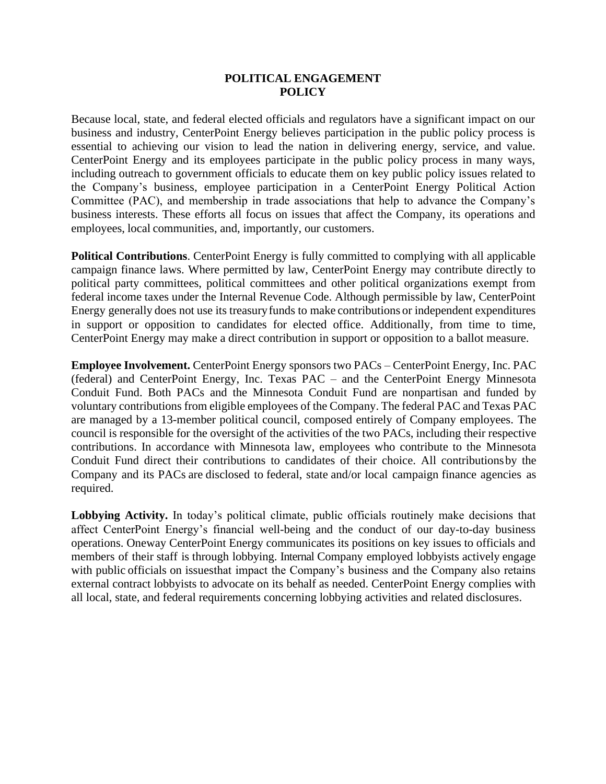## **POLITICAL ENGAGEMENT POLICY**

Because local, state, and federal elected officials and regulators have a significant impact on our business and industry, CenterPoint Energy believes participation in the public policy process is essential to achieving our vision to lead the nation in delivering energy, service, and value. CenterPoint Energy and its employees participate in the public policy process in many ways, including outreach to government officials to educate them on key public policy issues related to the Company's business, employee participation in a CenterPoint Energy Political Action Committee (PAC), and membership in trade associations that help to advance the Company's business interests. These efforts all focus on issues that affect the Company, its operations and employees, local communities, and, importantly, our customers.

**Political Contributions**. CenterPoint Energy is fully committed to complying with all applicable campaign finance laws. Where permitted by law, CenterPoint Energy may contribute directly to political party committees, political committees and other political organizations exempt from federal income taxes under the Internal Revenue Code. Although permissible by law, CenterPoint Energy generally does not use its treasuryfunds to make contributions or independent expenditures in support or opposition to candidates for elected office. Additionally, from time to time, CenterPoint Energy may make a direct contribution in support or opposition to a ballot measure.

**Employee Involvement.** CenterPoint Energy sponsors two PACs – CenterPoint Energy, Inc. PAC (federal) and CenterPoint Energy, Inc. Texas PAC – and the CenterPoint Energy Minnesota Conduit Fund. Both PACs and the Minnesota Conduit Fund are nonpartisan and funded by voluntary contributions from eligible employees of the Company. The federal PAC and Texas PAC are managed by a 13-member political council, composed entirely of Company employees. The council is responsible for the oversight of the activities of the two PACs, including their respective contributions. In accordance with Minnesota law, employees who contribute to the Minnesota Conduit Fund direct their contributions to candidates of their choice. All contributionsby the Company and its PACs are disclosed to federal, state and/or local campaign finance agencies as required.

**Lobbying Activity.** In today's political climate, public officials routinely make decisions that affect CenterPoint Energy's financial well-being and the conduct of our day-to-day business operations. Oneway CenterPoint Energy communicates its positions on key issues to officials and members of their staff is through lobbying. Internal Company employed lobbyists actively engage with public officials on issuesthat impact the Company's business and the Company also retains external contract lobbyists to advocate on its behalf as needed. CenterPoint Energy complies with all local, state, and federal requirements concerning lobbying activities and related disclosures.